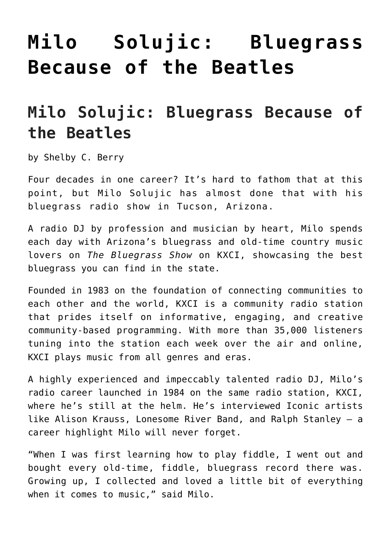## **[Milo Solujic: Bluegrass](https://thebluegrassstandard.com/milo-solujic-bluegrass-because-of-the-beatles/) [Because of the Beatles](https://thebluegrassstandard.com/milo-solujic-bluegrass-because-of-the-beatles/)**

## **Milo Solujic: Bluegrass Because of the Beatles**

by Shelby C. Berry

Four decades in one career? It's hard to fathom that at this point, but Milo Solujic has almost done that with his bluegrass radio show in Tucson, Arizona.

A radio DJ by profession and musician by heart, Milo spends each day with Arizona's bluegrass and old-time country music lovers on *The Bluegrass Show* on KXCI, showcasing the best bluegrass you can find in the state.

Founded in 1983 on the foundation of connecting communities to each other and the world, KXCI is a community radio station that prides itself on informative, engaging, and creative community-based programming. With more than 35,000 listeners tuning into the station each week over the air and online, KXCI plays music from all genres and eras.

A highly experienced and impeccably talented radio DJ, Milo's radio career launched in 1984 on the same radio station, KXCI, where he's still at the helm. He's interviewed Iconic artists like Alison Krauss, Lonesome River Band, and Ralph Stanley — a career highlight Milo will never forget.

"When I was first learning how to play fiddle, I went out and bought every old-time, fiddle, bluegrass record there was. Growing up, I collected and loved a little bit of everything when it comes to music," said Milo.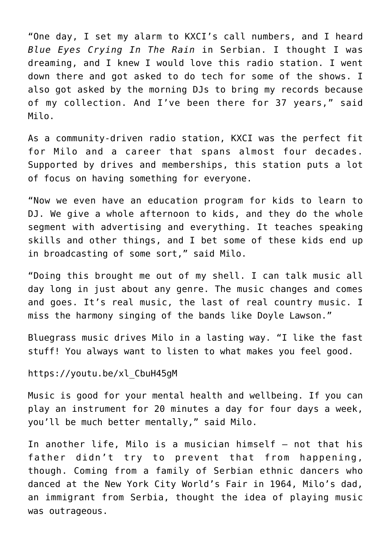"One day, I set my alarm to KXCI's call numbers, and I heard *Blue Eyes Crying In The Rain* in Serbian. I thought I was dreaming, and I knew I would love this radio station. I went down there and got asked to do tech for some of the shows. I also got asked by the morning DJs to bring my records because of my collection. And I've been there for 37 years," said Milo.

As a community-driven radio station, KXCI was the perfect fit for Milo and a career that spans almost four decades. Supported by drives and memberships, this station puts a lot of focus on having something for everyone.

"Now we even have an education program for kids to learn to DJ. We give a whole afternoon to kids, and they do the whole segment with advertising and everything. It teaches speaking skills and other things, and I bet some of these kids end up in broadcasting of some sort," said Milo.

"Doing this brought me out of my shell. I can talk music all day long in just about any genre. The music changes and comes and goes. It's real music, the last of real country music. I miss the harmony singing of the bands like Doyle Lawson."

Bluegrass music drives Milo in a lasting way. "I like the fast stuff! You always want to listen to what makes you feel good.

## https://youtu.be/xl\_CbuH45gM

Music is good for your mental health and wellbeing. If you can play an instrument for 20 minutes a day for four days a week, you'll be much better mentally," said Milo.

In another life, Milo is a musician himself — not that his father didn't try to prevent that from happening, though. Coming from a family of Serbian ethnic dancers who danced at the New York City World's Fair in 1964, Milo's dad, an immigrant from Serbia, thought the idea of playing music was outrageous.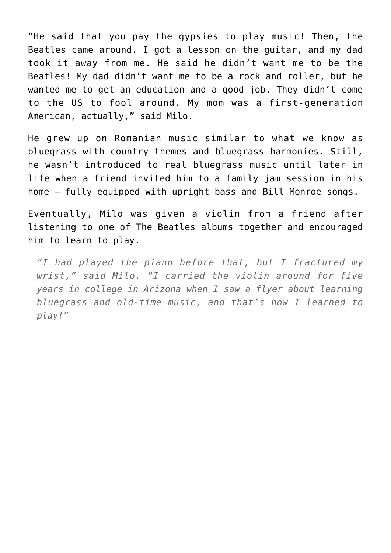"He said that you pay the gypsies to play music! Then, the Beatles came around. I got a lesson on the guitar, and my dad took it away from me. He said he didn't want me to be the Beatles! My dad didn't want me to be a rock and roller, but he wanted me to get an education and a good job. They didn't come to the US to fool around. My mom was a first-generation American, actually," said Milo.

He grew up on Romanian music similar to what we know as bluegrass with country themes and bluegrass harmonies. Still, he wasn't introduced to real bluegrass music until later in life when a friend invited him to a family jam session in his home — fully equipped with upright bass and Bill Monroe songs.

Eventually, Milo was given a violin from a friend after listening to one of The Beatles albums together and encouraged him to learn to play.

*"I had played the piano before that, but I fractured my wrist," said Milo. "I carried the violin around for five years in college in Arizona when I saw a flyer about learning bluegrass and old-time music, and that's how I learned to play!"*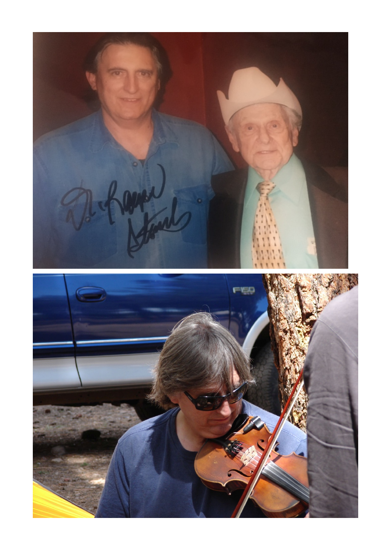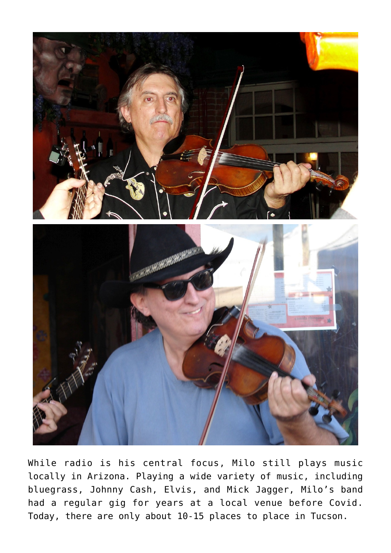

While radio is his central focus, Milo still plays music locally in Arizona. Playing a wide variety of music, including bluegrass, Johnny Cash, Elvis, and Mick Jagger, Milo's band had a regular gig for years at a local venue before Covid. Today, there are only about 10-15 places to place in Tucson.